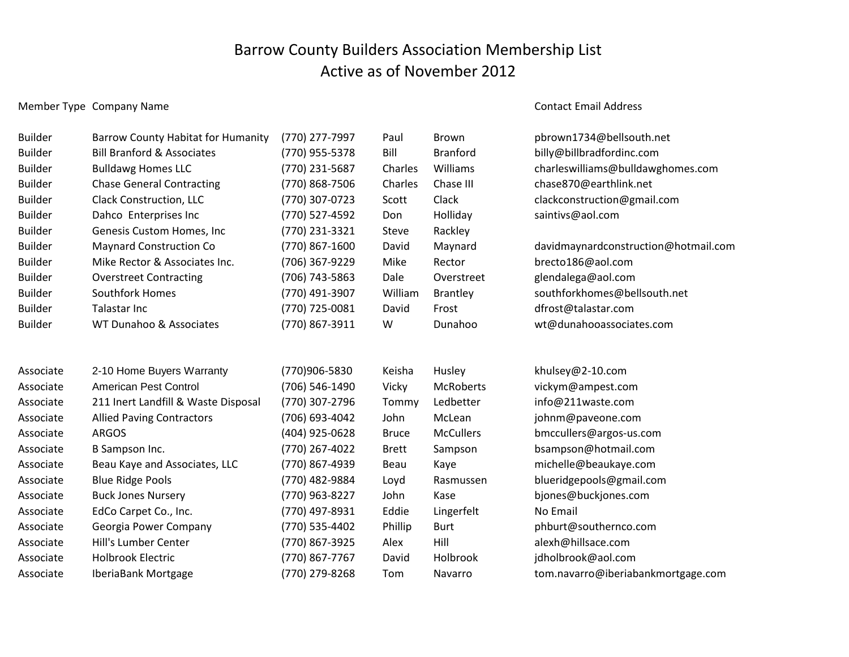## Barrow County Builders Association Membership List Active as of November 2012

## Member Type Company Name Contact Email Address

| <b>Builder</b> | <b>Barrow County Habitat for Humanity</b> | (770) 277-7997 | Paul         | Brown            | pbrown1734@bellsouth.net             |
|----------------|-------------------------------------------|----------------|--------------|------------------|--------------------------------------|
| <b>Builder</b> | <b>Bill Branford &amp; Associates</b>     | (770) 955-5378 | Bill         | <b>Branford</b>  | billy@billbradfordinc.com            |
| <b>Builder</b> | <b>Bulldawg Homes LLC</b>                 | (770) 231-5687 | Charles      | Williams         | charleswilliams@bulldawghomes.com    |
| <b>Builder</b> | <b>Chase General Contracting</b>          | (770) 868-7506 | Charles      | Chase III        | chase870@earthlink.net               |
| <b>Builder</b> | <b>Clack Construction, LLC</b>            | (770) 307-0723 | Scott        | Clack            | clackconstruction@gmail.com          |
| <b>Builder</b> | Dahco Enterprises Inc                     | (770) 527-4592 | Don          | Holliday         | saintivs@aol.com                     |
| <b>Builder</b> | Genesis Custom Homes, Inc                 | (770) 231-3321 | Steve        | Rackley          |                                      |
| <b>Builder</b> | <b>Maynard Construction Co</b>            | (770) 867-1600 | David        | Maynard          | davidmaynardconstruction@hotmail.com |
| <b>Builder</b> | Mike Rector & Associates Inc.             | (706) 367-9229 | Mike         | Rector           | brecto186@aol.com                    |
| <b>Builder</b> | <b>Overstreet Contracting</b>             | (706) 743-5863 | Dale         | Overstreet       | glendalega@aol.com                   |
| <b>Builder</b> | <b>Southfork Homes</b>                    | (770) 491-3907 | William      | <b>Brantley</b>  | southforkhomes@bellsouth.net         |
| <b>Builder</b> | Talastar Inc                              | (770) 725-0081 | David        | Frost            | dfrost@talastar.com                  |
| <b>Builder</b> | WT Dunahoo & Associates                   | (770) 867-3911 | W            | Dunahoo          | wt@dunahooassociates.com             |
|                |                                           |                |              |                  |                                      |
| Associate      | 2-10 Home Buyers Warranty                 | (770)906-5830  | Keisha       | Husley           | khulsey@2-10.com                     |
| Associate      | American Pest Control                     | (706) 546-1490 | Vicky        | McRoberts        | vickym@ampest.com                    |
| Associate      | 211 Inert Landfill & Waste Disposal       | (770) 307-2796 | Tommy        | Ledbetter        | info@211waste.com                    |
| Associate      | <b>Allied Paving Contractors</b>          | (706) 693-4042 | John         | McLean           | johnm@paveone.com                    |
| Associate      | <b>ARGOS</b>                              | (404) 925-0628 | <b>Bruce</b> | <b>McCullers</b> | bmccullers@argos-us.com              |
| Associate      | B Sampson Inc.                            | (770) 267-4022 | <b>Brett</b> | Sampson          | bsampson@hotmail.com                 |
| Associate      | Beau Kaye and Associates, LLC             | (770) 867-4939 | Beau         | Kaye             | michelle@beaukaye.com                |
| Associate      | <b>Blue Ridge Pools</b>                   | (770) 482-9884 | Loyd         | Rasmussen        | blueridgepools@gmail.com             |
| Associate      | <b>Buck Jones Nursery</b>                 | (770) 963-8227 | John         | Kase             | bjones@buckjones.com                 |
| Associate      | EdCo Carpet Co., Inc.                     | (770) 497-8931 | Eddie        | Lingerfelt       | No Email                             |
| Associate      | Georgia Power Company                     | (770) 535-4402 | Phillip      | <b>Burt</b>      | phburt@southernco.com                |
| Associate      | Hill's Lumber Center                      | (770) 867-3925 | Alex         | Hill             | alexh@hillsace.com                   |
| Associate      | <b>Holbrook Electric</b>                  | (770) 867-7767 | David        | Holbrook         | jdholbrook@aol.com                   |
| Associate      | IberiaBank Mortgage                       | (770) 279-8268 | Tom          | Navarro          | tom.navarro@iberiabankmortgage.com   |
|                |                                           |                |              |                  |                                      |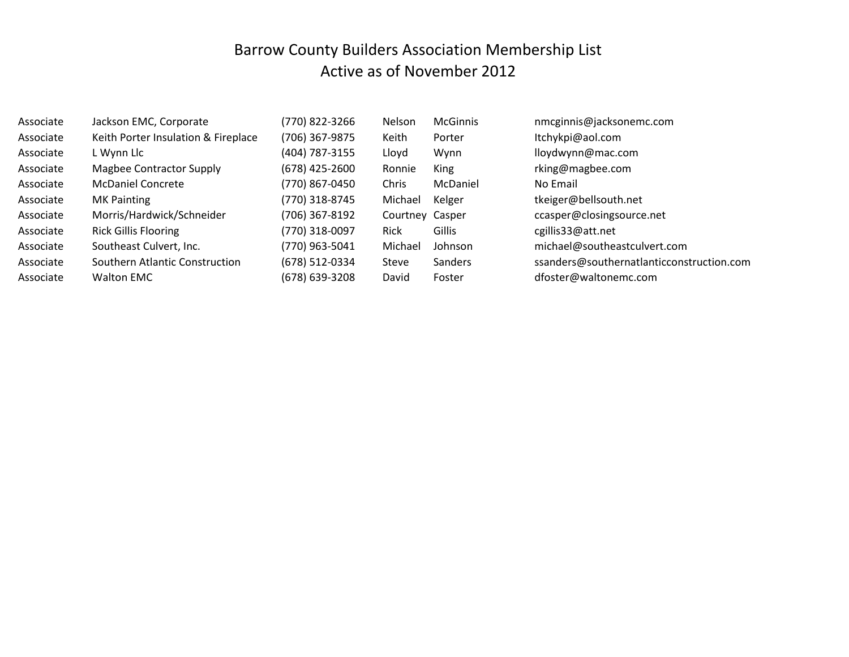## Barrow County Builders Association Membership List Active as of November 2012

| Associate | Jackson EMC, Corporate              | (770) 822-3266 | Nelson          | <b>McGinnis</b> | nmcginnis@jacksonemc.com                  |
|-----------|-------------------------------------|----------------|-----------------|-----------------|-------------------------------------------|
| Associate | Keith Porter Insulation & Fireplace | (706) 367-9875 | Keith           | Porter          | Itchykpi@aol.com                          |
| Associate | L Wynn Llc                          | (404) 787-3155 | Lloyd           | Wynn            | lloydwynn@mac.com                         |
| Associate | <b>Magbee Contractor Supply</b>     | (678) 425-2600 | Ronnie          | King            | rking@magbee.com                          |
| Associate | <b>McDaniel Concrete</b>            | (770) 867-0450 | Chris           | McDaniel        | No Email                                  |
| Associate | <b>MK Painting</b>                  | (770) 318-8745 | Michael         | Kelger          | tkeiger@bellsouth.net                     |
| Associate | Morris/Hardwick/Schneider           | (706) 367-8192 | Courtney Casper |                 | ccasper@closingsource.net                 |
| Associate | <b>Rick Gillis Flooring</b>         | (770) 318-0097 | <b>Rick</b>     | Gillis          | cgillis33@att.net                         |
| Associate | Southeast Culvert, Inc.             | (770) 963-5041 | Michael         | Johnson         | michael@southeastculvert.com              |
| Associate | Southern Atlantic Construction      | (678) 512-0334 | Steve           | <b>Sanders</b>  | ssanders@southernatlanticconstruction.com |
| Associate | <b>Walton EMC</b>                   | (678) 639-3208 | David           | Foster          | dfoster@waltonemc.com                     |